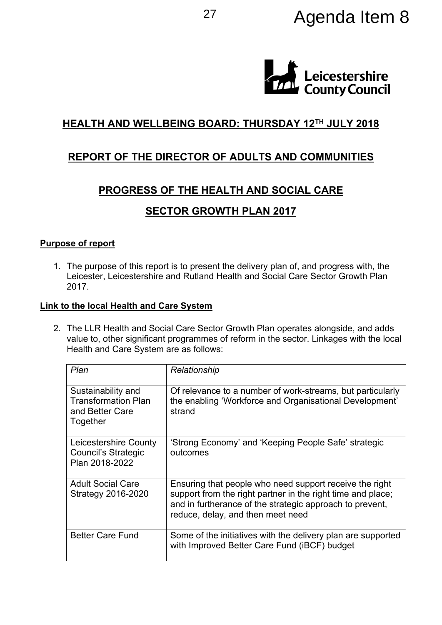

# **HEALTH AND WELLBEING BOARD: THURSDAY 12TH JULY 2018**

## **REPORT OF THE DIRECTOR OF ADULTS AND COMMUNITIES**

## **PROGRESS OF THE HEALTH AND SOCIAL CARE**

## **SECTOR GROWTH PLAN 2017**

#### **Purpose of report**

1. The purpose of this report is to present the delivery plan of, and progress with, the Leicester, Leicestershire and Rutland Health and Social Care Sector Growth Plan 2017.

#### **Link to the local Health and Care System**

2. The LLR Health and Social Care Sector Growth Plan operates alongside, and adds value to, other significant programmes of reform in the sector. Linkages with the local Health and Care System are as follows:

| Plan                                                                            | Relationship                                                                                                                                                                                                            |
|---------------------------------------------------------------------------------|-------------------------------------------------------------------------------------------------------------------------------------------------------------------------------------------------------------------------|
| Sustainability and<br><b>Transformation Plan</b><br>and Better Care<br>Together | Of relevance to a number of work-streams, but particularly<br>the enabling 'Workforce and Organisational Development'<br>strand                                                                                         |
| Leicestershire County<br><b>Council's Strategic</b><br>Plan 2018-2022           | 'Strong Economy' and 'Keeping People Safe' strategic<br>outcomes                                                                                                                                                        |
| <b>Adult Social Care</b><br>Strategy 2016-2020                                  | Ensuring that people who need support receive the right<br>support from the right partner in the right time and place;<br>and in furtherance of the strategic approach to prevent,<br>reduce, delay, and then meet need |
| <b>Better Care Fund</b>                                                         | Some of the initiatives with the delivery plan are supported<br>with Improved Better Care Fund (iBCF) budget                                                                                                            |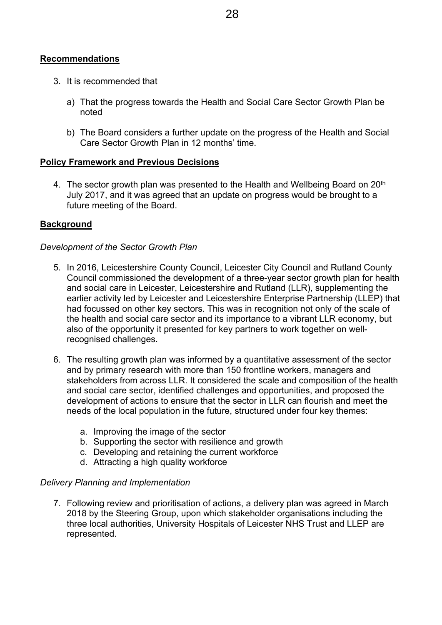#### **Recommendations**

- 3. It is recommended that
	- a) That the progress towards the Health and Social Care Sector Growth Plan be noted
	- b) The Board considers a further update on the progress of the Health and Social Care Sector Growth Plan in 12 months' time.

#### **Policy Framework and Previous Decisions**

4. The sector growth plan was presented to the Health and Wellbeing Board on 20<sup>th</sup> July 2017, and it was agreed that an update on progress would be brought to a future meeting of the Board.

#### **Background**

#### *Development of the Sector Growth Plan*

- 5. In 2016, Leicestershire County Council, Leicester City Council and Rutland County Council commissioned the development of a three-year sector growth plan for health and social care in Leicester, Leicestershire and Rutland (LLR), supplementing the earlier activity led by Leicester and Leicestershire Enterprise Partnership (LLEP) that had focussed on other key sectors. This was in recognition not only of the scale of the health and social care sector and its importance to a vibrant LLR economy, but also of the opportunity it presented for key partners to work together on wellrecognised challenges.
- 6. The resulting growth plan was informed by a quantitative assessment of the sector and by primary research with more than 150 frontline workers, managers and stakeholders from across LLR. It considered the scale and composition of the health and social care sector, identified challenges and opportunities, and proposed the development of actions to ensure that the sector in LLR can flourish and meet the needs of the local population in the future, structured under four key themes:
	- a. Improving the image of the sector
	- b. Supporting the sector with resilience and growth
	- c. Developing and retaining the current workforce
	- d. Attracting a high quality workforce

#### *Delivery Planning and Implementation*

7. Following review and prioritisation of actions, a delivery plan was agreed in March 2018 by the Steering Group, upon which stakeholder organisations including the three local authorities, University Hospitals of Leicester NHS Trust and LLEP are represented.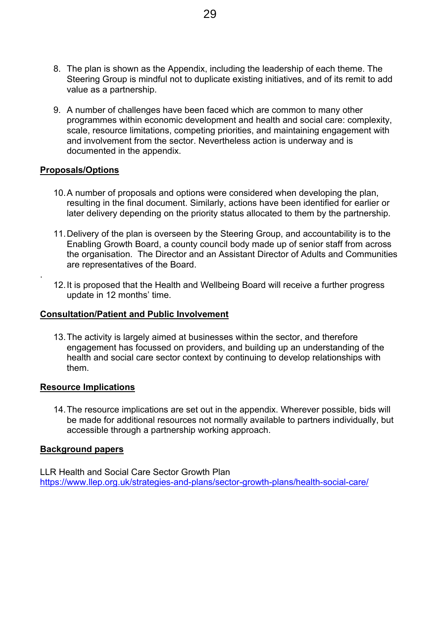- 8. The plan is shown as the Appendix, including the leadership of each theme. The Steering Group is mindful not to duplicate existing initiatives, and of its remit to add value as a partnership.
- 9. A number of challenges have been faced which are common to many other programmes within economic development and health and social care: complexity, scale, resource limitations, competing priorities, and maintaining engagement with and involvement from the sector. Nevertheless action is underway and is documented in the appendix.

#### **Proposals/Options**

.

- 10.A number of proposals and options were considered when developing the plan, resulting in the final document. Similarly, actions have been identified for earlier or later delivery depending on the priority status allocated to them by the partnership.
- 11.Delivery of the plan is overseen by the Steering Group, and accountability is to the Enabling Growth Board, a county council body made up of senior staff from across the organisation. The Director and an Assistant Director of Adults and Communities are representatives of the Board.
- 12.It is proposed that the Health and Wellbeing Board will receive a further progress update in 12 months' time.

#### **Consultation/Patient and Public Involvement**

13.The activity is largely aimed at businesses within the sector, and therefore engagement has focussed on providers, and building up an understanding of the health and social care sector context by continuing to develop relationships with them.

#### **Resource Implications**

14.The resource implications are set out in the appendix. Wherever possible, bids will be made for additional resources not normally available to partners individually, but accessible through a partnership working approach.

#### **Background papers**

LLR Health and Social Care Sector Growth Plan <https://www.llep.org.uk/strategies-and-plans/sector-growth-plans/health-social-care/>